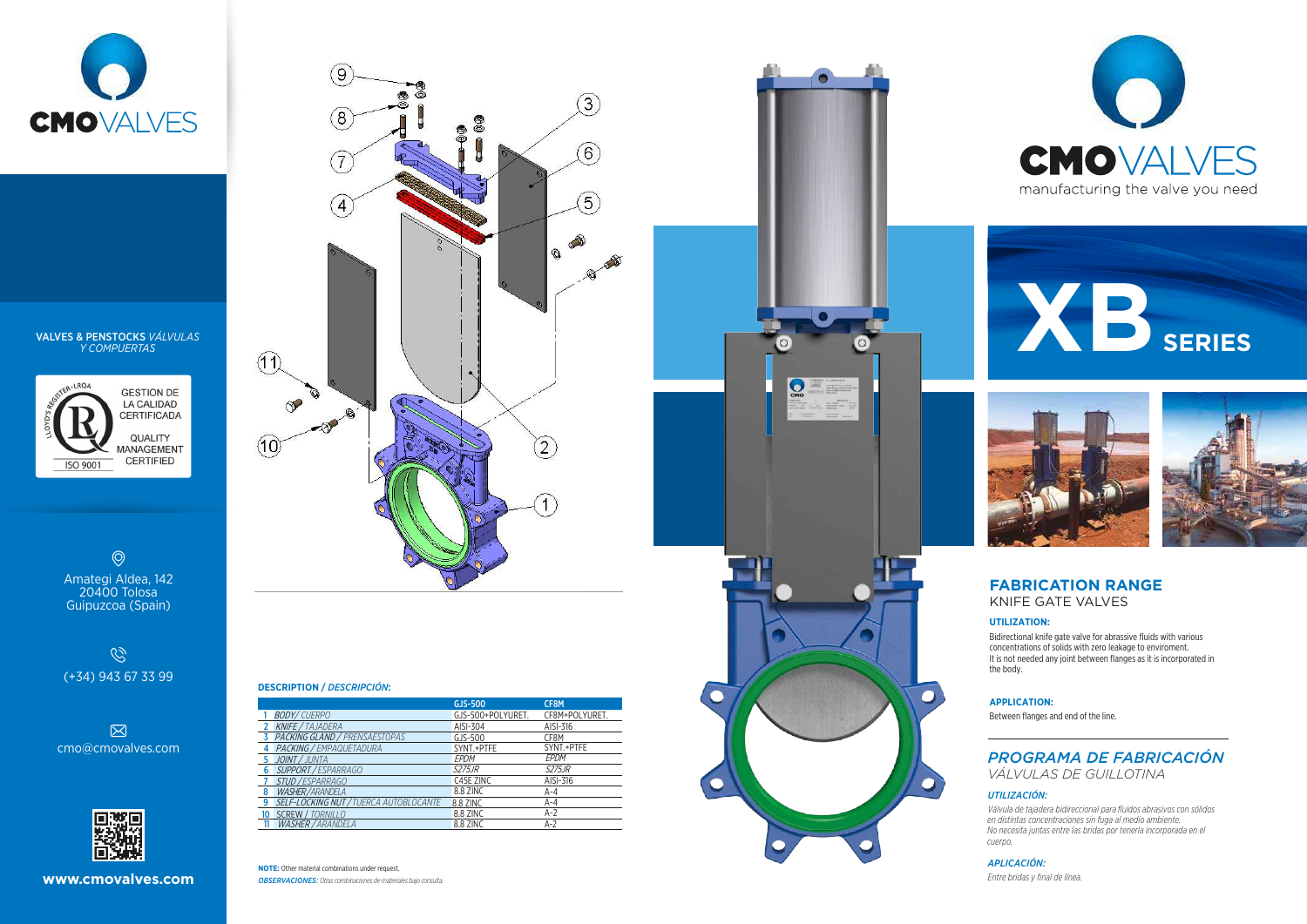





### VALVES & PENSTOCKS *VÁLVULAS Y COMPUERTAS*



 $\circledcirc$ Amategi Aldea, 142 20400 Tolosa Guipuzcoa (Spain)

 $\mathscr{C}$ (+34) 943 67 33 99





*OBSERVACIONES: Otras combinaciones de materiales bajo consulta.* **NOTE:** Other material combinations under request.





#### **DESCRIPTION /** *DESCRIPCIÓN***:**









#### *UTILIZACIÓN:*

|                               |                                        | GJS-500           | CF8M           |  |                                                                      | <b>APPLICATION:</b>                                               |
|-------------------------------|----------------------------------------|-------------------|----------------|--|----------------------------------------------------------------------|-------------------------------------------------------------------|
|                               | <b>BODY/CUERPO</b>                     | GJS-500+POLYURET. | CF8M+POLYURET. |  |                                                                      | Between flanges and end of the line.                              |
|                               | <b>KNIFE</b> / TAJADERA                | AISI-304          | AISI-316       |  |                                                                      |                                                                   |
|                               | PACKING GLAND / PRENSAESTOPAS          | GJS-500           | CF8M           |  |                                                                      |                                                                   |
| $\mathsf{cmo@cm}$ ovalves.com | PACKING / EMPAQUETADURA                | SYNT.+PTFE        | SYNT.+PTFE     |  |                                                                      |                                                                   |
|                               | JOINT / JUNTA                          | EPDM              | EPDM           |  |                                                                      | <b>PROGRAMA DE FABRICACIÓN</b>                                    |
|                               | SUPPORT / ESPARRAGO                    | <b>S275JR</b>     | <b>S275JR</b>  |  |                                                                      | <i>VÁLVULAS DE GUILLOTINA</i>                                     |
|                               | <i>STUD / ESPARRAGO</i>                | C45E ZINC         | AISI-316       |  |                                                                      |                                                                   |
|                               | <i>WASHER/ARANDELA</i>                 | 8.8 ZINC          |                |  |                                                                      | UTILIZACIÓN:                                                      |
| <b>原務県</b>                    | SELF-LOCKING NUT / TUERCA AUTOBLOCANTE | 8.8 ZINC          |                |  | Válvula de tajadera bidireccional para fluidos abrasivos con sólidos |                                                                   |
|                               | SCREW / TORNILLO                       | 8.8 ZINC          |                |  | en distintas concentraciones sin fuga al medio ambiente.             |                                                                   |
|                               | <i>WASHER / ARANDELA</i>               | 8.8 ZINC          |                |  |                                                                      | No pecesito iuntos entre los bridos per tenerlo incerperado en el |

*Válvula de tajadera bidireccional para fluidos abrasivos con sólidos en distintas concentraciones sin fuga al medio ambiente. No necesita juntas entre las bridas por tenerla incorporada en el cuerpo.*

*APLICACIÓN:*

*Entre bridas y final de línea.*

## **FABRICATION RANGE** KNIFE GATE VALVES

#### **UTILIZATION:**

Bidirectional knife gate valve for abrassive fluids with various concentrations of solids with zero leakage to enviroment. It is not needed any joint between flanges as it is incorporated in the body.

#### **APPLICATION:**